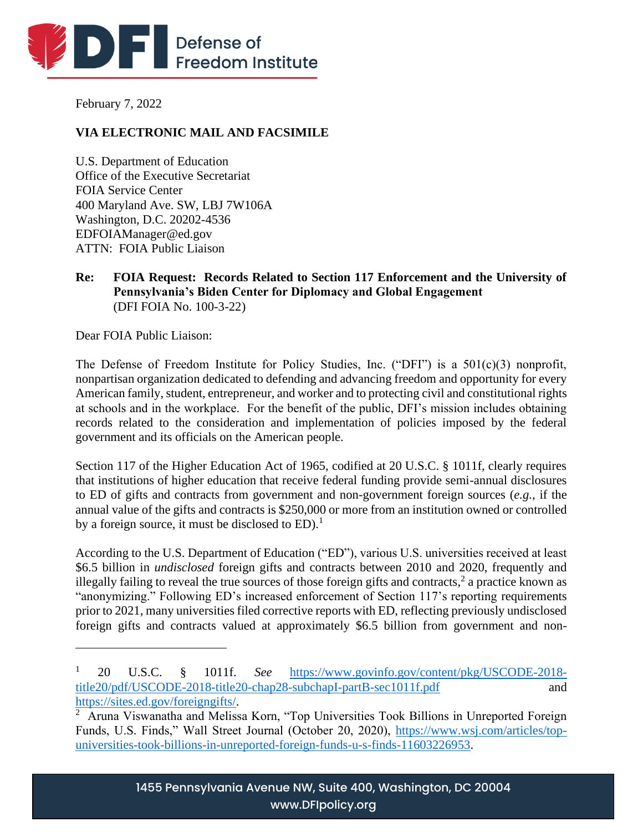

February 7, 2022

# **VIA ELECTRONIC MAIL AND FACSIMILE**

U.S. Department of Education Office of the Executive Secretariat FOIA Service Center 400 Maryland Ave. SW, LBJ 7W106A Washington, D.C. 20202-4536 EDFOIAManager@ed.gov ATTN: FOIA Public Liaison

**Re: FOIA Request: Records Related to Section 117 Enforcement and the University of Pennsylvania's Biden Center for Diplomacy and Global Engagement**  (DFI FOIA No. 100-3-22)

Dear FOIA Public Liaison:

The Defense of Freedom Institute for Policy Studies, Inc. ("DFI") is a 501(c)(3) nonprofit, nonpartisan organization dedicated to defending and advancing freedom and opportunity for every American family, student, entrepreneur, and worker and to protecting civil and constitutional rights at schools and in the workplace. For the benefit of the public, DFI's mission includes obtaining records related to the consideration and implementation of policies imposed by the federal government and its officials on the American people.

Section 117 of the Higher Education Act of 1965, codified at 20 U.S.C. § 1011f, clearly requires that institutions of higher education that receive federal funding provide semi-annual disclosures to ED of gifts and contracts from government and non-government foreign sources (*e.g.,* if the annual value of the gifts and contracts is \$250,000 or more from an institution owned or controlled by a foreign source, it must be disclosed to  $ED$ .<sup>1</sup>

According to the U.S. Department of Education ("ED"), various U.S. universities received at least \$6.5 billion in *undisclosed* foreign gifts and contracts between 2010 and 2020, frequently and illegally failing to reveal the true sources of those foreign gifts and contracts, $2$  a practice known as "anonymizing." Following ED's increased enforcement of Section 117's reporting requirements prior to 2021, many universities filed corrective reports with ED, reflecting previously undisclosed foreign gifts and contracts valued at approximately \$6.5 billion from government and non-

<sup>1</sup> 20 U.S.C. § 1011f. *See* [https://www.govinfo.gov/content/pkg/USCODE-2018](https://www.govinfo.gov/content/pkg/USCODE-2018-title20/pdf/USCODE-2018-title20-chap28-subchapI-partB-sec1011f.pdf) [title20/pdf/USCODE-2018-title20-chap28-subchapI-partB-sec1011f.pdf](https://www.govinfo.gov/content/pkg/USCODE-2018-title20/pdf/USCODE-2018-title20-chap28-subchapI-partB-sec1011f.pdf) and [https://sites.ed.gov/foreigngifts/.](https://sites.ed.gov/foreigngifts/)

<sup>&</sup>lt;sup>2</sup> Aruna Viswanatha and Melissa Korn, "Top Universities Took Billions in Unreported Foreign Funds, U.S. Finds," Wall Street Journal (October 20, 2020), [https://www.wsj.com/articles/top](https://www.wsj.com/articles/top-universities-took-billions-in-unreported-foreign-funds-u-s-finds-11603226953)[universities-took-billions-in-unreported-foreign-funds-u-s-finds-11603226953.](https://www.wsj.com/articles/top-universities-took-billions-in-unreported-foreign-funds-u-s-finds-11603226953)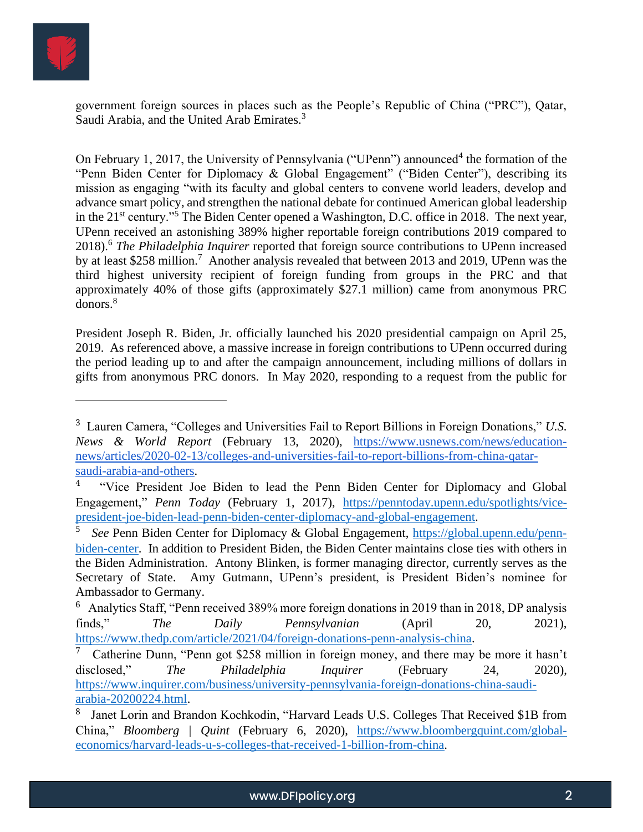

government foreign sources in places such as the People's Republic of China ("PRC"), Qatar, Saudi Arabia, and the United Arab Emirates.<sup>3</sup>

On February 1, 2017, the University of Pennsylvania ("UPenn") announced<sup>4</sup> the formation of the "Penn Biden Center for Diplomacy & Global Engagement" ("Biden Center"), describing its mission as engaging "with its faculty and global centers to convene world leaders, develop and advance smart policy, and strengthen the national debate for continued American global leadership in the 21<sup>st</sup> century."<sup>5</sup> The Biden Center opened a Washington, D.C. office in 2018. The next year, UPenn received an astonishing 389% higher reportable foreign contributions 2019 compared to 2018). <sup>6</sup> *The Philadelphia Inquirer* reported that foreign source contributions to UPenn increased by at least \$258 million.<sup>7</sup> Another analysis revealed that between 2013 and 2019, UPenn was the third highest university recipient of foreign funding from groups in the PRC and that approximately 40% of those gifts (approximately \$27.1 million) came from anonymous PRC donors.<sup>8</sup>

President Joseph R. Biden, Jr. officially launched his 2020 presidential campaign on April 25, 2019. As referenced above, a massive increase in foreign contributions to UPenn occurred during the period leading up to and after the campaign announcement, including millions of dollars in gifts from anonymous PRC donors. In May 2020, responding to a request from the public for

<sup>3</sup> Lauren Camera, "Colleges and Universities Fail to Report Billions in Foreign Donations," *U.S. News & World Report* (February 13, 2020), [https://www.usnews.com/news/education](https://www.usnews.com/news/education-news/articles/2020-02-13/colleges-and-universities-fail-to-report-billions-from-china-qatar-saudi-arabia-and-others)[news/articles/2020-02-13/colleges-and-universities-fail-to-report-billions-from-china-qatar](https://www.usnews.com/news/education-news/articles/2020-02-13/colleges-and-universities-fail-to-report-billions-from-china-qatar-saudi-arabia-and-others)[saudi-arabia-and-others.](https://www.usnews.com/news/education-news/articles/2020-02-13/colleges-and-universities-fail-to-report-billions-from-china-qatar-saudi-arabia-and-others)

<sup>4</sup> "Vice President Joe Biden to lead the Penn Biden Center for Diplomacy and Global Engagement," *Penn Today* (February 1, 2017), [https://penntoday.upenn.edu/spotlights/vice](https://penntoday.upenn.edu/spotlights/vice-president-joe-biden-lead-penn-biden-center-diplomacy-and-global-engagement)[president-joe-biden-lead-penn-biden-center-diplomacy-and-global-engagement.](https://penntoday.upenn.edu/spotlights/vice-president-joe-biden-lead-penn-biden-center-diplomacy-and-global-engagement)

<sup>5</sup> *See* Penn Biden Center for Diplomacy & Global Engagement, [https://global.upenn.edu/penn](https://global.upenn.edu/penn-biden-center)[biden-center.](https://global.upenn.edu/penn-biden-center) In addition to President Biden, the Biden Center maintains close ties with others in the Biden Administration. Antony Blinken, is former managing director, currently serves as the Secretary of State. Amy Gutmann, UPenn's president, is President Biden's nominee for Ambassador to Germany.

<sup>&</sup>lt;sup>6</sup> Analytics Staff, "Penn received 389% more foreign donations in 2019 than in 2018, DP analysis finds," *The Daily Pennsylvanian* (April 20, 2021), [https://www.thedp.com/article/2021/04/foreign-donations-penn-analysis-china.](https://www.thedp.com/article/2021/04/foreign-donations-penn-analysis-china)

<sup>7</sup> Catherine Dunn, "Penn got \$258 million in foreign money, and there may be more it hasn't disclosed," *The Philadelphia Inquirer* (February 24, 2020), [https://www.inquirer.com/business/university-pennsylvania-foreign-donations-china-saudi](https://www.inquirer.com/business/university-pennsylvania-foreign-donations-china-saudi-arabia-20200224.html)[arabia-20200224.html.](https://www.inquirer.com/business/university-pennsylvania-foreign-donations-china-saudi-arabia-20200224.html)

<sup>8</sup> Janet Lorin and Brandon Kochkodin, "Harvard Leads U.S. Colleges That Received \$1B from China," *Bloomberg | Quint* (February 6, 2020), [https://www.bloombergquint.com/global](https://www.bloombergquint.com/global-economics/harvard-leads-u-s-colleges-that-received-1-billion-from-china)[economics/harvard-leads-u-s-colleges-that-received-1-billion-from-china.](https://www.bloombergquint.com/global-economics/harvard-leads-u-s-colleges-that-received-1-billion-from-china)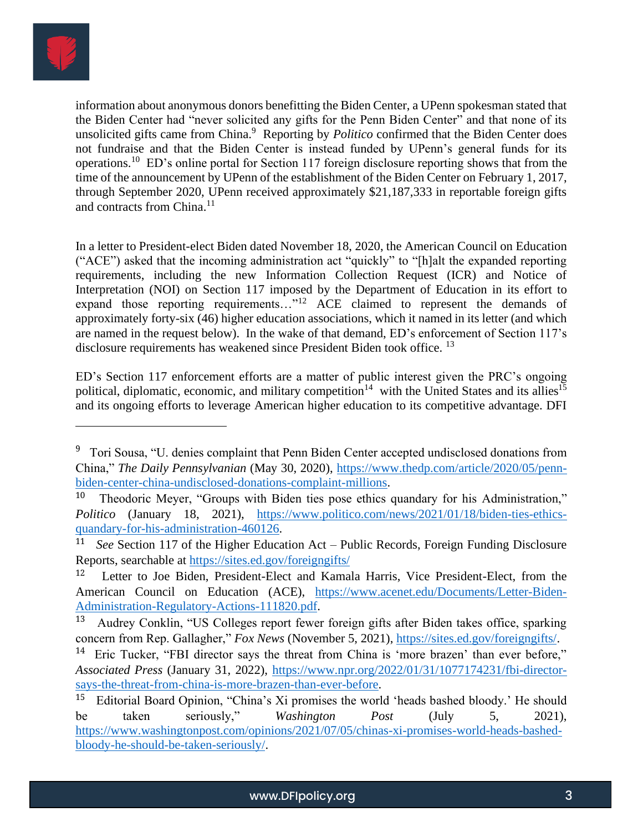

information about anonymous donors benefitting the Biden Center, a UPenn spokesman stated that the Biden Center had "never solicited any gifts for the Penn Biden Center" and that none of its unsolicited gifts came from China.<sup>9</sup> Reporting by *Politico* confirmed that the Biden Center does not fundraise and that the Biden Center is instead funded by UPenn's general funds for its operations.<sup>10</sup> ED's online portal for Section 117 foreign disclosure reporting shows that from the time of the announcement by UPenn of the establishment of the Biden Center on February 1, 2017, through September 2020, UPenn received approximately \$21,187,333 in reportable foreign gifts and contracts from China.<sup>11</sup>

In a letter to President-elect Biden dated November 18, 2020, the American Council on Education ("ACE") asked that the incoming administration act "quickly" to "[h]alt the expanded reporting requirements, including the new Information Collection Request (ICR) and Notice of Interpretation (NOI) on Section 117 imposed by the Department of Education in its effort to expand those reporting requirements…"<sup>12</sup> ACE claimed to represent the demands of approximately forty-six (46) higher education associations, which it named in its letter (and which are named in the request below). In the wake of that demand, ED's enforcement of Section 117's disclosure requirements has weakened since President Biden took office. <sup>13</sup>

ED's Section 117 enforcement efforts are a matter of public interest given the PRC's ongoing political, diplomatic, economic, and military competition<sup>14</sup> with the United States and its allies<sup>15</sup> and its ongoing efforts to leverage American higher education to its competitive advantage. DFI

<sup>&</sup>lt;sup>9</sup> Tori Sousa, "U. denies complaint that Penn Biden Center accepted undisclosed donations from China," *The Daily Pennsylvanian* (May 30, 2020), [https://www.thedp.com/article/2020/05/penn](https://www.thedp.com/article/2020/05/penn-biden-center-china-undisclosed-donations-complaint-millions)[biden-center-china-undisclosed-donations-complaint-millions.](https://www.thedp.com/article/2020/05/penn-biden-center-china-undisclosed-donations-complaint-millions)

<sup>10</sup> Theodoric Meyer, "Groups with Biden ties pose ethics quandary for his Administration," *Politico* (January 18, 2021), [https://www.politico.com/news/2021/01/18/biden-ties-ethics](https://www.politico.com/news/2021/01/18/biden-ties-ethics-quandary-for-his-administration-460126)[quandary-for-his-administration-460126.](https://www.politico.com/news/2021/01/18/biden-ties-ethics-quandary-for-his-administration-460126)

<sup>11</sup> *See* Section 117 of the Higher Education Act – Public Records, Foreign Funding Disclosure Reports, searchable at<https://sites.ed.gov/foreigngifts/>

<sup>12</sup> Letter to Joe Biden, President-Elect and Kamala Harris, Vice President-Elect, from the American Council on Education (ACE), [https://www.acenet.edu/Documents/Letter-Biden-](https://www.acenet.edu/Documents/Letter-Biden-Administration-Regulatory-Actions-111820.pdf)[Administration-Regulatory-Actions-111820.pdf.](https://www.acenet.edu/Documents/Letter-Biden-Administration-Regulatory-Actions-111820.pdf)

<sup>13</sup> Audrey Conklin, "US Colleges report fewer foreign gifts after Biden takes office, sparking concern from Rep. Gallagher," *Fox News* (November 5, 2021), [https://sites.ed.gov/foreigngifts/.](https://sites.ed.gov/foreigngifts/)

<sup>&</sup>lt;sup>14</sup> Eric Tucker, "FBI director says the threat from China is 'more brazen' than ever before," *Associated Press* (January 31, 2022), [https://www.npr.org/2022/01/31/1077174231/fbi-director](https://www.npr.org/2022/01/31/1077174231/fbi-director-says-the-threat-from-china-is-more-brazen-than-ever-before)[says-the-threat-from-china-is-more-brazen-than-ever-before.](https://www.npr.org/2022/01/31/1077174231/fbi-director-says-the-threat-from-china-is-more-brazen-than-ever-before)

<sup>&</sup>lt;sup>15</sup> Editorial Board Opinion, "China's Xi promises the world 'heads bashed bloody.' He should be taken seriously," *Washington Post* (July 5, 2021), [https://www.washingtonpost.com/opinions/2021/07/05/chinas-xi-promises-world-heads-bashed](https://www.washingtonpost.com/opinions/2021/07/05/chinas-xi-promises-world-heads-bashed-bloody-he-should-be-taken-seriously/)[bloody-he-should-be-taken-seriously/.](https://www.washingtonpost.com/opinions/2021/07/05/chinas-xi-promises-world-heads-bashed-bloody-he-should-be-taken-seriously/)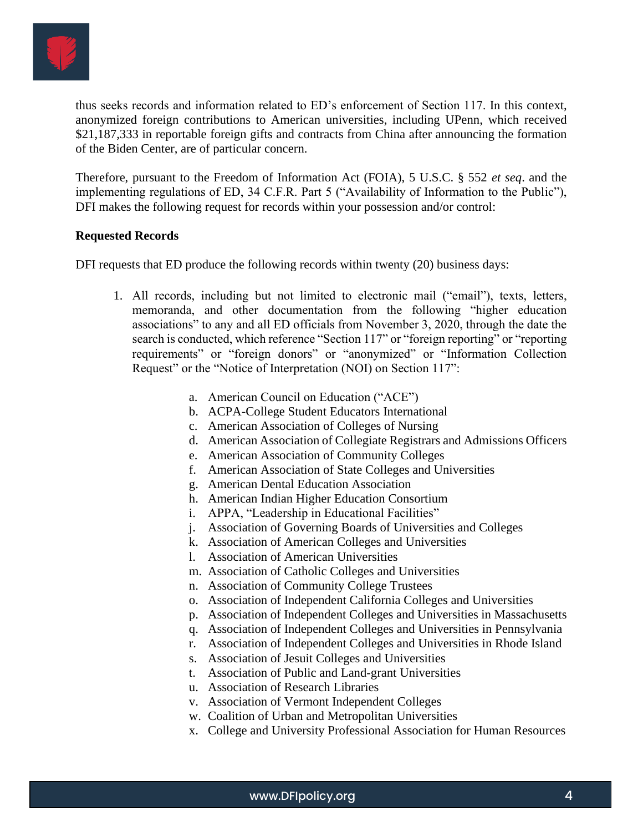

thus seeks records and information related to ED's enforcement of Section 117. In this context, anonymized foreign contributions to American universities, including UPenn, which received \$21,187,333 in reportable foreign gifts and contracts from China after announcing the formation of the Biden Center, are of particular concern.

Therefore, pursuant to the Freedom of Information Act (FOIA), 5 U.S.C. § 552 *et seq*. and the implementing regulations of ED, 34 C.F.R. Part 5 ("Availability of Information to the Public"), DFI makes the following request for records within your possession and/or control:

#### **Requested Records**

DFI requests that ED produce the following records within twenty (20) business days:

- 1. All records, including but not limited to electronic mail ("email"), texts, letters, memoranda, and other documentation from the following "higher education associations" to any and all ED officials from November 3, 2020, through the date the search is conducted, which reference "Section 117" or "foreign reporting" or "reporting requirements" or "foreign donors" or "anonymized" or "Information Collection Request" or the "Notice of Interpretation (NOI) on Section 117":
	- a. American Council on Education ("ACE")
	- b. ACPA-College Student Educators International
	- c. American Association of Colleges of Nursing
	- d. American Association of Collegiate Registrars and Admissions Officers
	- e. American Association of Community Colleges
	- f. American Association of State Colleges and Universities
	- g. American Dental Education Association
	- h. American Indian Higher Education Consortium
	- i. APPA, "Leadership in Educational Facilities"
	- j. Association of Governing Boards of Universities and Colleges
	- k. Association of American Colleges and Universities
	- l. Association of American Universities
	- m. Association of Catholic Colleges and Universities
	- n. Association of Community College Trustees
	- o. Association of Independent California Colleges and Universities
	- p. Association of Independent Colleges and Universities in Massachusetts
	- q. Association of Independent Colleges and Universities in Pennsylvania
	- r. Association of Independent Colleges and Universities in Rhode Island
	- s. Association of Jesuit Colleges and Universities
	- t. Association of Public and Land-grant Universities
	- u. Association of Research Libraries
	- v. Association of Vermont Independent Colleges
	- w. Coalition of Urban and Metropolitan Universities
	- x. College and University Professional Association for Human Resources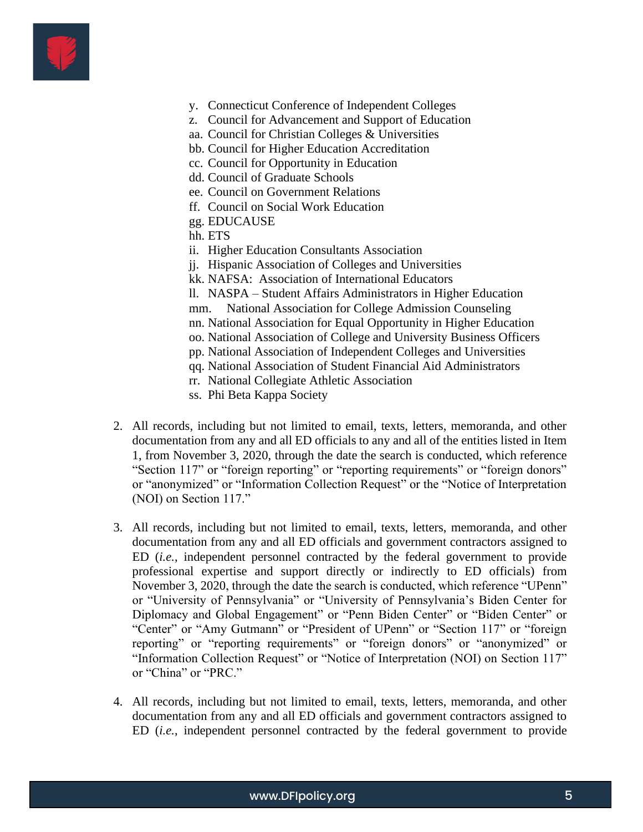

- y. Connecticut Conference of Independent Colleges
- z. Council for Advancement and Support of Education
- aa. Council for Christian Colleges & Universities
- bb. Council for Higher Education Accreditation
- cc. Council for Opportunity in Education
- dd. Council of Graduate Schools
- ee. Council on Government Relations
- ff. Council on Social Work Education
- gg. EDUCAUSE
- hh. ETS
- ii. Higher Education Consultants Association
- jj. Hispanic Association of Colleges and Universities
- kk. NAFSA: Association of International Educators
- ll. NASPA Student Affairs Administrators in Higher Education mm. National Association for College Admission Counseling
- nn. National Association for Equal Opportunity in Higher Education
- oo. National Association of College and University Business Officers
- pp. National Association of Independent Colleges and Universities
- qq. National Association of Student Financial Aid Administrators
- rr. National Collegiate Athletic Association
- ss. Phi Beta Kappa Society
- 2. All records, including but not limited to email, texts, letters, memoranda, and other documentation from any and all ED officials to any and all of the entities listed in Item 1, from November 3, 2020, through the date the search is conducted, which reference "Section 117" or "foreign reporting" or "reporting requirements" or "foreign donors" or "anonymized" or "Information Collection Request" or the "Notice of Interpretation (NOI) on Section 117."
- 3. All records, including but not limited to email, texts, letters, memoranda, and other documentation from any and all ED officials and government contractors assigned to ED (*i.e.*, independent personnel contracted by the federal government to provide professional expertise and support directly or indirectly to ED officials) from November 3, 2020, through the date the search is conducted, which reference "UPenn" or "University of Pennsylvania" or "University of Pennsylvania's Biden Center for Diplomacy and Global Engagement" or "Penn Biden Center" or "Biden Center" or "Center" or "Amy Gutmann" or "President of UPenn" or "Section 117" or "foreign reporting" or "reporting requirements" or "foreign donors" or "anonymized" or "Information Collection Request" or "Notice of Interpretation (NOI) on Section 117" or "China" or "PRC."
- 4. All records, including but not limited to email, texts, letters, memoranda, and other documentation from any and all ED officials and government contractors assigned to ED (*i.e.*, independent personnel contracted by the federal government to provide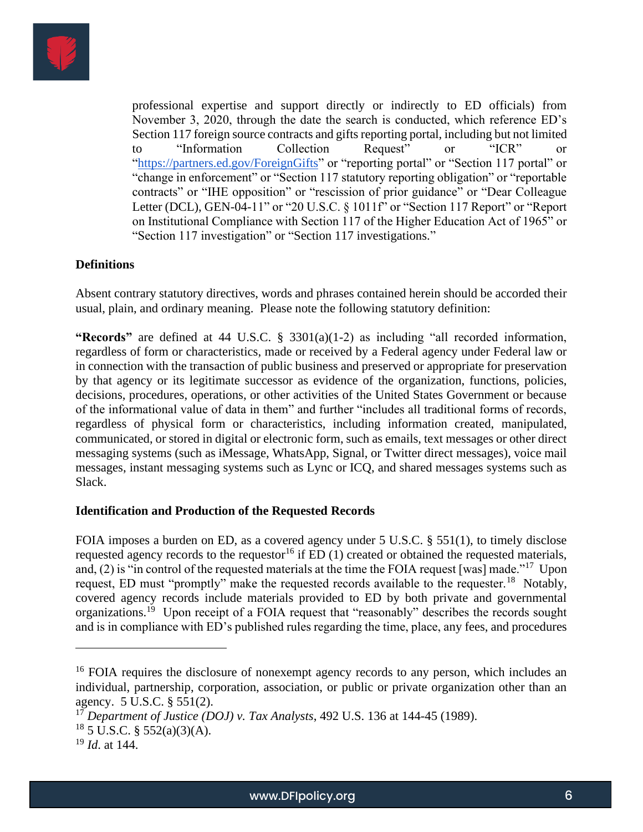

professional expertise and support directly or indirectly to ED officials) from November 3, 2020, through the date the search is conducted, which reference ED's Section 117 foreign source contracts and gifts reporting portal, including but not limited to "Information Collection Request" or "ICR" or ["https://partners.ed.gov/ForeignGifts"](https://partners.ed.gov/ForeignGifts) or "reporting portal" or "Section 117 portal" or "change in enforcement" or "Section 117 statutory reporting obligation" or "reportable contracts" or "IHE opposition" or "rescission of prior guidance" or "Dear Colleague Letter (DCL), GEN-04-11" or "20 U.S.C. § 1011f" or "Section 117 Report" or "Report" on Institutional Compliance with Section 117 of the Higher Education Act of 1965" or "Section 117 investigation" or "Section 117 investigations."

## **Definitions**

Absent contrary statutory directives, words and phrases contained herein should be accorded their usual, plain, and ordinary meaning. Please note the following statutory definition:

**"Records"** are defined at 44 U.S.C. § 3301(a)(1-2) as including "all recorded information, regardless of form or characteristics, made or received by a Federal agency under Federal law or in connection with the transaction of public business and preserved or appropriate for preservation by that agency or its legitimate successor as evidence of the organization, functions, policies, decisions, procedures, operations, or other activities of the United States Government or because of the informational value of data in them" and further "includes all traditional forms of records, regardless of physical form or characteristics, including information created, manipulated, communicated, or stored in digital or electronic form, such as emails, text messages or other direct messaging systems (such as iMessage, WhatsApp, Signal, or Twitter direct messages), voice mail messages, instant messaging systems such as Lync or ICQ, and shared messages systems such as Slack.

#### **Identification and Production of the Requested Records**

FOIA imposes a burden on ED, as a covered agency under 5 U.S.C. § 551(1), to timely disclose requested agency records to the requestor<sup>16</sup> if  $ED(1)$  created or obtained the requested materials, and, (2) is "in control of the requested materials at the time the FOIA request [was] made."<sup>17</sup> Upon request, ED must "promptly" make the requested records available to the requester.<sup>18</sup> Notably, covered agency records include materials provided to ED by both private and governmental organizations.<sup>19</sup> Upon receipt of a FOIA request that "reasonably" describes the records sought and is in compliance with ED's published rules regarding the time, place, any fees, and procedures

<sup>&</sup>lt;sup>16</sup> FOIA requires the disclosure of nonexempt agency records to any person, which includes an individual, partnership, corporation, association, or public or private organization other than an agency. 5 U.S.C. § 551(2).

<sup>17</sup> *Department of Justice (DOJ) v. Tax Analysts*, 492 U.S. 136 at 144-45 (1989).

 $18$  5 U.S.C. § 552(a)(3)(A).

<sup>19</sup> *Id*. at 144.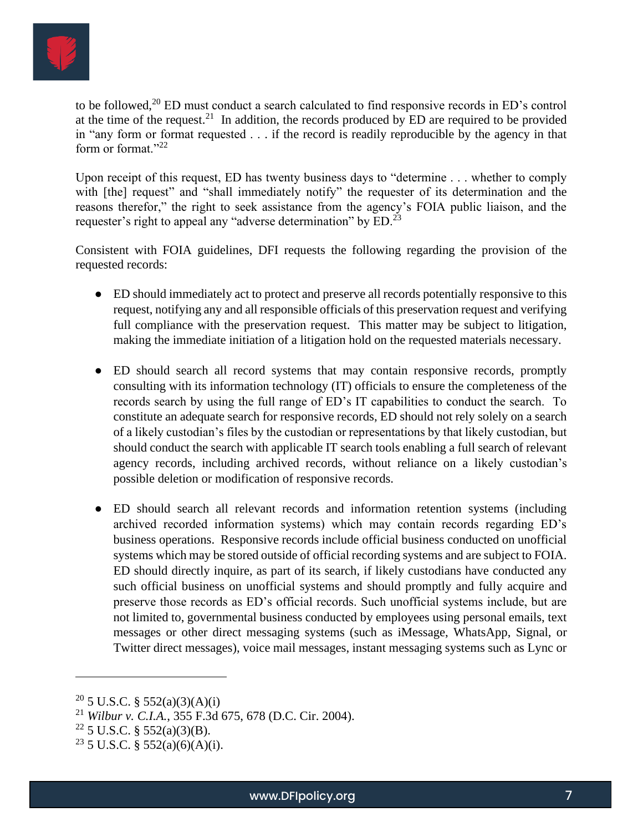

to be followed,<sup>20</sup> ED must conduct a search calculated to find responsive records in ED's control at the time of the request.<sup>21</sup> In addition, the records produced by ED are required to be provided in "any form or format requested . . . if the record is readily reproducible by the agency in that form or format."22

Upon receipt of this request, ED has twenty business days to "determine . . . whether to comply with [the] request" and "shall immediately notify" the requester of its determination and the reasons therefor," the right to seek assistance from the agency's FOIA public liaison, and the requester's right to appeal any "adverse determination" by ED.<sup>23</sup>

Consistent with FOIA guidelines, DFI requests the following regarding the provision of the requested records:

- ED should immediately act to protect and preserve all records potentially responsive to this request, notifying any and all responsible officials of this preservation request and verifying full compliance with the preservation request. This matter may be subject to litigation, making the immediate initiation of a litigation hold on the requested materials necessary.
- ED should search all record systems that may contain responsive records, promptly consulting with its information technology (IT) officials to ensure the completeness of the records search by using the full range of ED's IT capabilities to conduct the search. To constitute an adequate search for responsive records, ED should not rely solely on a search of a likely custodian's files by the custodian or representations by that likely custodian, but should conduct the search with applicable IT search tools enabling a full search of relevant agency records, including archived records, without reliance on a likely custodian's possible deletion or modification of responsive records.
- ED should search all relevant records and information retention systems (including archived recorded information systems) which may contain records regarding ED's business operations. Responsive records include official business conducted on unofficial systems which may be stored outside of official recording systems and are subject to FOIA. ED should directly inquire, as part of its search, if likely custodians have conducted any such official business on unofficial systems and should promptly and fully acquire and preserve those records as ED's official records. Such unofficial systems include, but are not limited to, governmental business conducted by employees using personal emails, text messages or other direct messaging systems (such as iMessage, WhatsApp, Signal, or Twitter direct messages), voice mail messages, instant messaging systems such as Lync or

<sup>&</sup>lt;sup>20</sup> 5 U.S.C. § 552(a)(3)(A)(i)

<sup>21</sup> *Wilbur v. C.I.A.*, 355 F.3d 675, 678 (D.C. Cir. 2004).

 $22$  5 U.S.C. § 552(a)(3)(B).

 $23$  5 U.S.C. § 552(a)(6)(A)(i).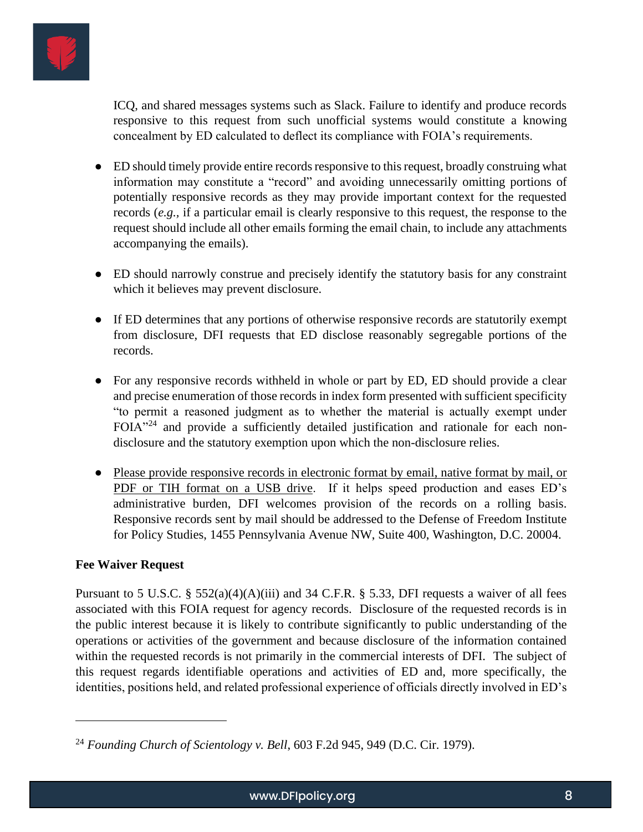

ICQ, and shared messages systems such as Slack. Failure to identify and produce records responsive to this request from such unofficial systems would constitute a knowing concealment by ED calculated to deflect its compliance with FOIA's requirements.

- ED should timely provide entire records responsive to this request, broadly construing what information may constitute a "record" and avoiding unnecessarily omitting portions of potentially responsive records as they may provide important context for the requested records (*e.g.,* if a particular email is clearly responsive to this request, the response to the request should include all other emails forming the email chain, to include any attachments accompanying the emails).
- ED should narrowly construe and precisely identify the statutory basis for any constraint which it believes may prevent disclosure.
- If ED determines that any portions of otherwise responsive records are statutorily exempt from disclosure, DFI requests that ED disclose reasonably segregable portions of the records.
- For any responsive records withheld in whole or part by ED, ED should provide a clear and precise enumeration of those records in index form presented with sufficient specificity "to permit a reasoned judgment as to whether the material is actually exempt under FOIA"<sup>24</sup> and provide a sufficiently detailed justification and rationale for each nondisclosure and the statutory exemption upon which the non-disclosure relies.
- Please provide responsive records in electronic format by email, native format by mail, or PDF or TIH format on a USB drive. If it helps speed production and eases ED's administrative burden, DFI welcomes provision of the records on a rolling basis. Responsive records sent by mail should be addressed to the Defense of Freedom Institute for Policy Studies, 1455 Pennsylvania Avenue NW, Suite 400, Washington, D.C. 20004.

## **Fee Waiver Request**

Pursuant to 5 U.S.C. §  $552(a)(4)(A)(iii)$  and 34 C.F.R. § 5.33, DFI requests a waiver of all fees associated with this FOIA request for agency records. Disclosure of the requested records is in the public interest because it is likely to contribute significantly to public understanding of the operations or activities of the government and because disclosure of the information contained within the requested records is not primarily in the commercial interests of DFI. The subject of this request regards identifiable operations and activities of ED and, more specifically, the identities, positions held, and related professional experience of officials directly involved in ED's

<sup>24</sup> *Founding Church of Scientology v. Bell*, 603 F.2d 945, 949 (D.C. Cir. 1979).